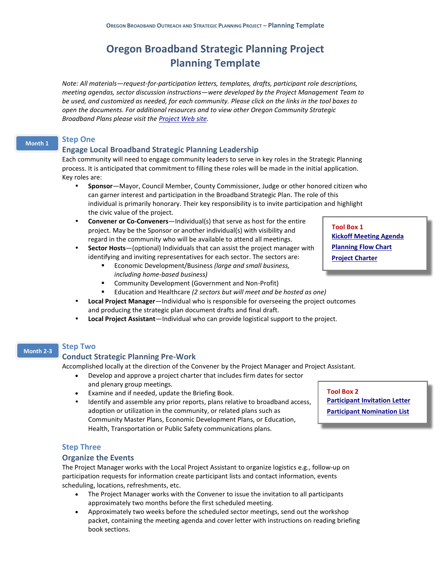# **Oregon Broadband Strategic Planning Project Planning Template**

*Note: All materials—request-for-participation letters, templates, drafts, participant role descriptions, meeting agendas, sector discussion instructions—were developed by the Project Management Team to be used, and customized as needed, for each community. Please click on the links in the tool boxes to open the documents. For additional resources and to view other Oregon Community Strategic Broadband Plans please visit the [Project Web](http://www.oregonbroadbandplanning.org/) site.*

#### **Step One Month 1**

# **Engage Local Broadband Strategic Planning Leadership**

Each community will need to engage community leaders to serve in key roles in the Strategic Planning process. It is anticipated that commitment to filling these roles will be made in the initial application. Key roles are:

- **Sponsor**—Mayor, Council Member, County Commissioner, Judge or other honored citizen who can garner interest and participation in the Broadband Strategic Plan. The role of this individual is primarily honorary. Their key responsibility is to invite participation and highlight the civic value of the project.
- **Convener or Co-Conveners**—Individual(s) that serve as host for the entire project. May be the Sponsor or another individual(s) with visibility and regard in the community who will be available to attend all meetings.
- **Sector Hosts**—(optional) Individuals that can assist the project manager with identifying and inviting representatives for each sector. The sectors are:
	- Economic Development/Business *(large and small business, including home-based business)*
	- Community Development (Government and Non-Profit)
	- Education and Healthcare *(2 sectors but will meet and be hosted as one)*
- **Local Project Manager**—Individual who is responsible for overseeing the project outcomes and producing the strategic plan document drafts and final draft.
- **Local Project Assistant**—Individual who can provide logistical support to the project.

#### **Step Two Month 2-3**

### **Conduct Strategic Planning Pre-Work**

Accomplished locally at the direction of the Convener by the Project Manager and Project Assistant.

- Develop and approve a project charter that includes firm dates for sector and plenary group meetings.
- Examine and if needed, update the Briefing Book.
- Identify and assemble any prior reports, plans relative to broadband access, adoption or utilization in the community, or related plans such as Community Master Plans, Economic Development Plans, or Education, Health, Transportation or Public Safety communications plans.

**Tool Box 2 [Participant Invitation](http://www.oregonbroadbandplanning.org/assets/docs/PlanTemp/B2InviteLtr.pdf) Letter [Participant Nomination List](http://www.oregonbroadbandplanning.org/assets/docs/PlanTemp/B2PartList.pdf)**

**[Monthly Progress Report](file:///C:/Users/nancy/AppData/Local/Temp/Template%20Contents/Community%20Template%20Progress%20Report.doc)**

### **Step Three**

### **Organize the Events**

The Project Manager works with the Local Project Assistant to organize logistics e.g., follow-up on participation requests for information create participant lists and contact information, events scheduling, locations, refreshments, etc.

- The Project Manager works with the Convener to issue the invitation to all participants approximately two months before the first scheduled meeting.
- Approximately two weeks before the scheduled sector meetings, send out the workshop packet, containing the meeting agenda and cover letter with instructions on reading briefing book sections.

**Tool Box 1 [Kickoff Meeting Agenda](http://www.oregonbroadbandplanning.org/assets/docs/PlanTemp/B1Agenda.pdf) [Planning Flow Chart](http://www.oregonbroadbandplanning.org/assets/docs/PlanTemp/B1Flowchart.pdf) [Project Charter](http://www.oregonbroadbandplanning.org/assets/docs/PlanTemp/B1Charter.pdf)**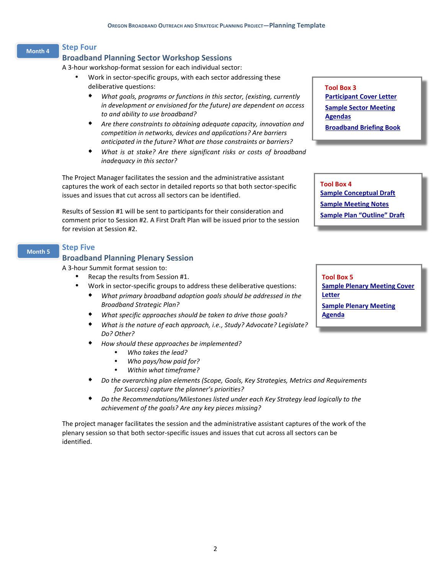### **Month 4**

**Step Four**

### **Broadband Planning Sector Workshop Sessions**

A 3-hour workshop-format session for each individual sector:

- Work in sector-specific groups, with each sector addressing these deliberative questions:
	- *What goals, programs or functions in this sector, (existing, currently in development or envisioned for the future) are dependent on access to and ability to use broadband?*
	- *Are there constraints to obtaining adequate capacity, innovation and competition in networks, devices and applications? Are barriers anticipated in the future? What are those constraints or barriers?*
	- *What is at stake? Are there significant risks or costs of broadband inadequacy in this sector?*

The Project Manager facilitates the session and the administrative assistant captures the work of each sector in detailed reports so that both sector-specific issues and issues that cut across all sectors can be identified.

Results of Session #1 will be sent to participants for their consideration and comment prior to Session #2. A First Draft Plan will be issued prior to the session for revision at Session #2.

#### **Step Five Month 5**

### **Broadband Planning Plenary Session**

A 3-hour Summit format session to:

- Recap the results from Session #1.
- Work in sector-specific groups to address these deliberative questions:
	- *What primary broadband adoption goals should be addressed in the Broadband Strategic Plan?*
	- *What specific approaches should be taken to drive those goals?*
	- *What is the nature of each approach, i.e., Study? Advocate? Legislate? Do? Other?*
	- *How should these approaches be implemented?*
		- *Who takes the lead?*
		- *Who pays/how paid for?*
		- *Within what timeframe?*
	- *Do the overarching plan elements (Scope, Goals, Key Strategies, Metrics and Requirements for Success) capture the planner's priorities?*
	- *Do the Recommendations/Milestones listed under each Key Strategy lead logically to the achievement of the goals? Are any key pieces missing?*

The project manager facilitates the session and the administrative assistant captures of the work of the plenary session so that both sector-specific issues and issues that cut across all sectors can be identified.

**Tool Box 3 [Participant Cover Letter](http://www.oregonbroadbandplanning.org/assets/docs/PlanTemp/B3PartLtr.pdf) [Sample Sector](http://www.oregonbroadbandplanning.org/assets/docs/PlanTemp/B3Agenda.pdf) Meeting [Agendas](http://www.oregonbroadbandplanning.org/assets/docs/PlanTemp/B3Agenda.pdf) [Broadband Briefing Book](http://www.oregonbroadbandplanning.org/Engaged-Communities/Learning-Resources/)**

**Tool Box 4 [Sample Conceptual Draft](http://www.oregonbroadbandplanning.org/assets/docs/PlanTemp/B4ConceptDraft.pdf) [Sample Meeting Notes](http://www.oregonbroadbandplanning.org/Engaged-Communities/QLife/docs/QEcDev.pdf) [Sample Plan "Outline" Draft](http://www.oregonbroadbandplanning.org/assets/docs/PlanTemp/B4SampleOutline.pdf)**

**Tool Box 5 [Sample Plenary Meeting Cover](http://www.oregonbroadbandplanning.org/assets/docs/PlanTemp/B5PlenCover.pdf)  [Letter](http://www.oregonbroadbandplanning.org/assets/docs/PlanTemp/B5PlenCover.pdf) [Sample Plenary Meeting](http://www.oregonbroadbandplanning.org/assets/docs/PlanTemp/B5PlenAgenda.pdf)  [Agenda](http://www.oregonbroadbandplanning.org/assets/docs/PlanTemp/B5PlenAgenda.pdf)**